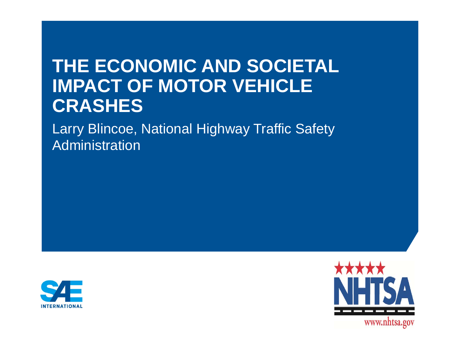# **THE ECONOMIC AND SOCIETAL IMPACT OF MOTOR VEHICLE CRASHES**

Larry Blincoe, National Highway Traffic Safety Administration



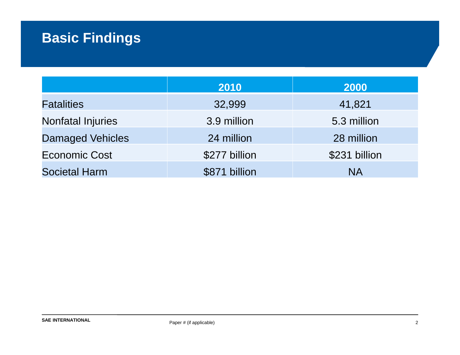## **Basic Findings**

|                          | 2010          | 2000          |
|--------------------------|---------------|---------------|
| <b>Fatalities</b>        | 32,999        | 41,821        |
| <b>Nonfatal Injuries</b> | 3.9 million   | 5.3 million   |
| <b>Damaged Vehicles</b>  | 24 million    | 28 million    |
| <b>Economic Cost</b>     | \$277 billion | \$231 billion |
| <b>Societal Harm</b>     | \$871 billion | <b>NA</b>     |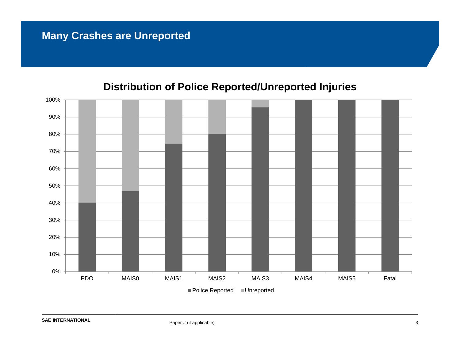### **Many Crashes are Unreported**



#### **Distribution of Police Reported/Unreported Injuries**

**SAE INTERNATIONAL**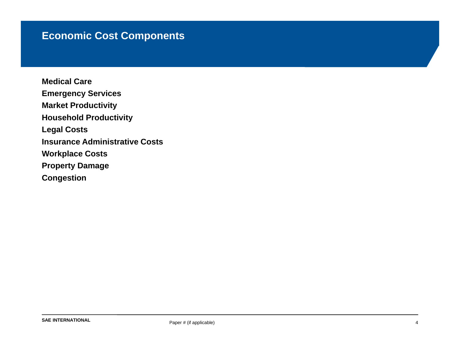### **Economic Cost Components**

**Medical CareEmergency Services Market Productivity Household Productivity Legal Costs Insurance Administrative CostsWorkplace Costs Property Damage Congestion**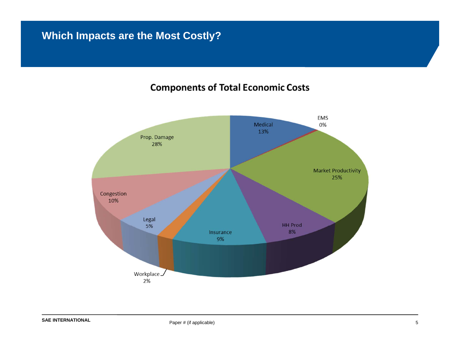### **Which Impacts are the Most Costly?**

#### **Components of Total Economic Costs**

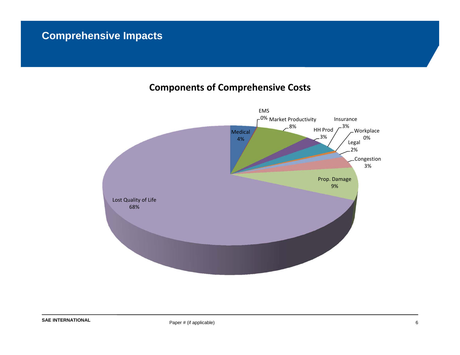### **Comprehensive Impacts**

#### **Components of Comprehensive Costs**

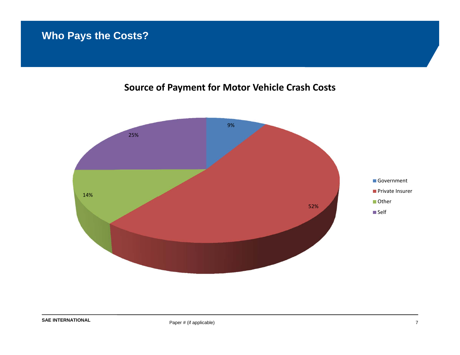### **Who Pays the Costs?**

#### **Source of Payment for Motor Vehicle Crash Costs**

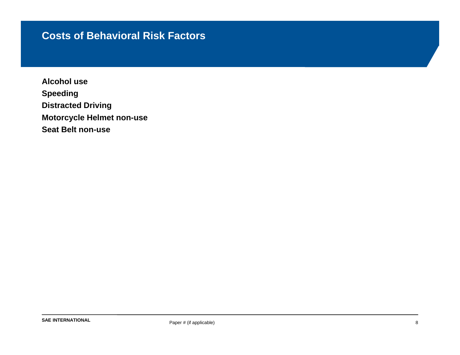#### **Costs of Behavioral Risk Factors**

**Alcohol useSpeeding Distracted Driving Motorcycle Helmet non-use Seat Belt non-use**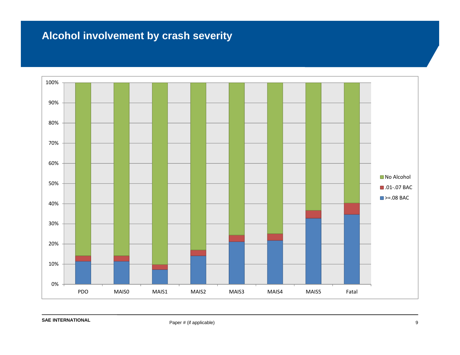### **Alcohol involvement by crash severity**

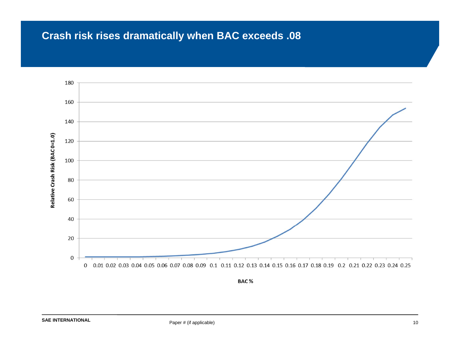### **Crash risk rises dramatically when BAC exceeds .08**

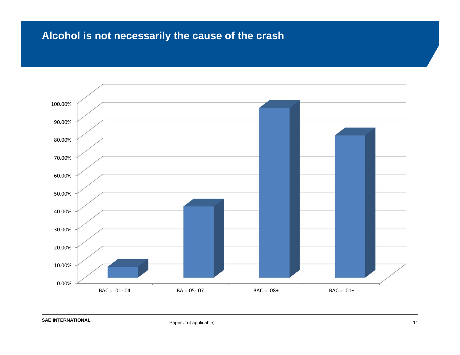### **Alcohol is not necessarily the cause of the crash**

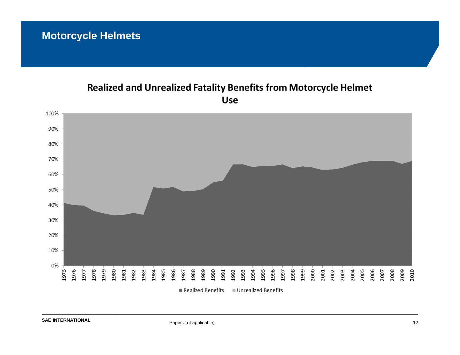### **Motorcycle Helmets**

#### Realized and Unrealized Fatality Benefits from Motorcycle Helmet **Use**

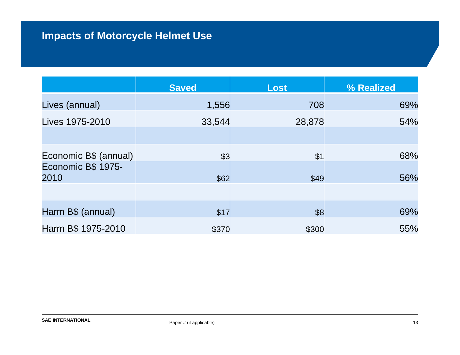### **Impacts of Motorcycle Helmet Use**

|                            | <b>Saved</b> | <b>Lost</b> | % Realized |
|----------------------------|--------------|-------------|------------|
| Lives (annual)             | 1,556        | 708         | 69%        |
| Lives 1975-2010            | 33,544       | 28,878      | 54%        |
|                            |              |             |            |
| Economic B\$ (annual)      | \$3          | \$1         | 68%        |
| Economic B\$ 1975-<br>2010 | \$62         | \$49        | 56%        |
|                            |              |             |            |
| Harm B\$ (annual)          | \$17         | \$8         | 69%        |
|                            |              |             |            |
| Harm B\$ 1975-2010         | \$370        | \$300       | 55%        |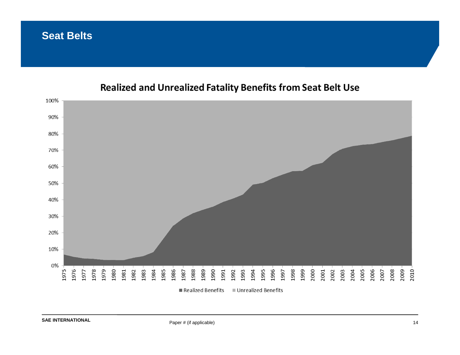#### **Seat Belts**



#### Realized and Unrealized Fatality Benefits from Seat Belt Use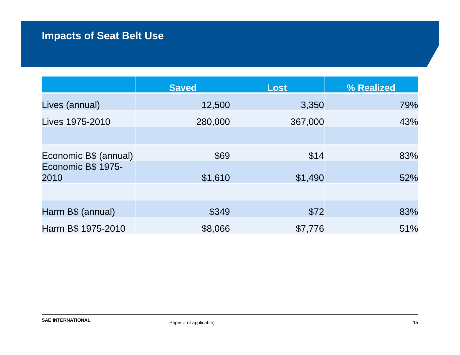### **Impacts of Seat Belt Use**

|                            | <b>Saved</b> | <b>Lost</b> | % Realized |
|----------------------------|--------------|-------------|------------|
| Lives (annual)             | 12,500       | 3,350       | 79%        |
| Lives 1975-2010            | 280,000      | 367,000     | 43%        |
|                            |              |             |            |
| Economic B\$ (annual)      | \$69         | \$14        | 83%        |
| Economic B\$ 1975-<br>2010 | \$1,610      | \$1,490     | 52%        |
|                            |              |             |            |
| Harm B\$ (annual)          | \$349        | \$72        | 83%        |
| Harm B\$ 1975-2010         | \$8,066      | \$7,776     | 51%        |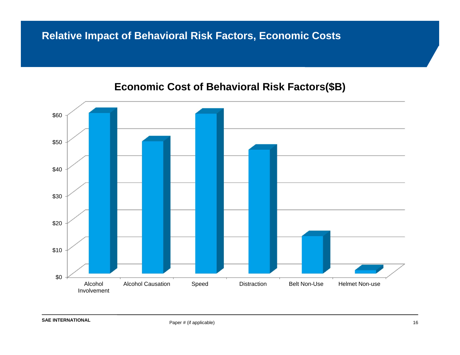### **Relative Impact of Behavioral Risk Factors, Economic Costs**



#### **Economic Cost of Behavioral Risk Factors(\$B)**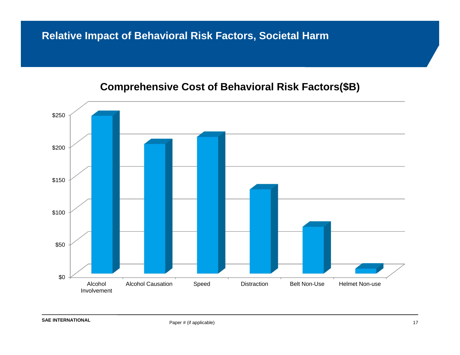### **Relative Impact of Behavioral Risk Factors, Societal Harm**

#### **Comprehensive Cost of Behavioral Risk Factors(\$B)**

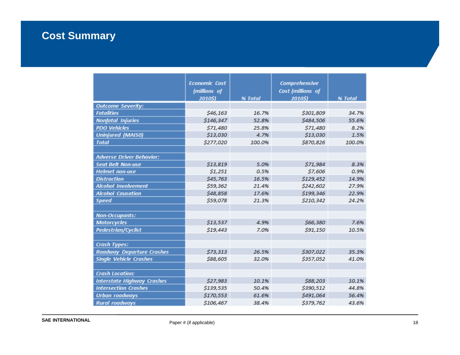### **Cost Summary**

|                                   | <b>Economic Cost</b> |         | <b>Comprehensive</b> |         |
|-----------------------------------|----------------------|---------|----------------------|---------|
|                                   | (millions of         |         | Cost (millions of    |         |
|                                   | 2010\$)              | % Total | 2010\$)              | % Total |
| <b>Outcome Severity:</b>          |                      |         |                      |         |
| <b>Fatalities</b>                 | \$46,163             | 16.7%   | \$301,809            | 34.7%   |
| <b>Nonfatal Injuries</b>          | \$146,347            | 52.8%   | \$484,506            | 55.6%   |
| <b>PDO Vehicles</b>               | \$71,480             | 25.8%   | \$71,480             | 8.2%    |
| <b>Uninjured (MAISO)</b>          | \$13,030             | 4.7%    | \$13,030             | 1.5%    |
| <b>Total</b>                      | \$277,020            | 100.0%  | \$870,826            | 100.0%  |
|                                   |                      |         |                      |         |
| <b>Adverse Driver Behavior:</b>   |                      |         |                      |         |
| <b>Seat Belt Non-use</b>          | \$13,819             | 5.0%    | \$71.984             | 8.3%    |
| <b>Helmet non-use</b>             | \$1,251              | 0.5%    | \$7,606              | 0.9%    |
| <b>Distraction</b>                | \$45,763             | 16.5%   | \$129,452            | 14.9%   |
| <b>Alcohol Involvement</b>        | \$59,362             | 21.4%   | \$242,602            | 27.9%   |
| <b>Alcohol Causation</b>          | \$48,858             | 17.6%   | \$199,346            | 22.9%   |
| <b>Speed</b>                      | \$59,078             | 21.3%   | \$210,342            | 24.2%   |
|                                   |                      |         |                      |         |
| <b>Non-Occupants:</b>             |                      |         |                      |         |
| <b>Motorcycles</b>                | \$13,537             | 4.9%    | \$66,380             | 7.6%    |
| <b>Pedestrian/Cyclist</b>         | \$19,443             | 7.0%    | \$91,150             | 10.5%   |
|                                   |                      |         |                      |         |
| <b>Crash Types:</b>               |                      |         |                      |         |
| <b>Roadway Departure Crashes</b>  | \$73,313             | 26.5%   | \$307,022            | 35.3%   |
| <b>Single Vehicle Crashes</b>     | \$88,605             | 32.0%   | \$357,052            | 41.0%   |
|                                   |                      |         |                      |         |
| <b>Crash Location:</b>            |                      |         |                      |         |
| <b>Interstate Highway Crashes</b> | \$27,983             | 10.1%   | \$88,203             | 10.1%   |
| <b>Intersection Crashes</b>       | \$139,535            | 50.4%   | \$390,512            | 44.8%   |
| <b>Urban roadways</b>             | \$170,553            | 61.6%   | \$491,064            | 56.4%   |
| <b>Rural roadways</b>             | \$106.467            | 38.4%   | \$379.762            | 43.6%   |